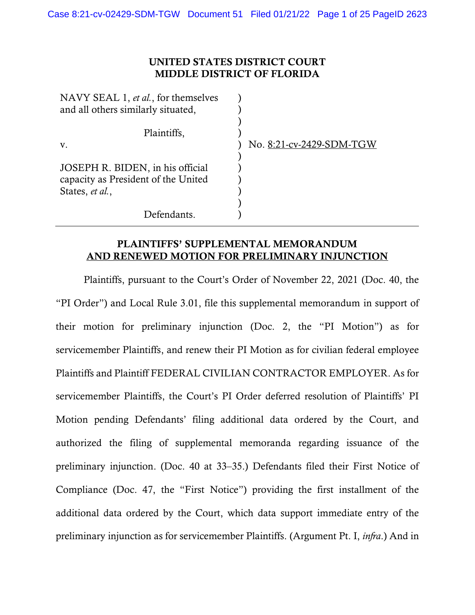## UNITED STATES DISTRICT COURT MIDDLE DISTRICT OF FLORIDA

| No. 8:21-cv-2429-SDM-TGW |
|--------------------------|
|                          |
|                          |
|                          |
|                          |
|                          |
|                          |
|                          |

## PLAINTIFFS' SUPPLEMENTAL MEMORANDUM AND RENEWED MOTION FOR PRELIMINARY INJUNCTION

Plaintiffs, pursuant to the Court's Order of November 22, 2021 (Doc. 40, the "PI Order") and Local Rule 3.01, file this supplemental memorandum in support of their motion for preliminary injunction (Doc. 2, the "PI Motion") as for servicemember Plaintiffs, and renew their PI Motion as for civilian federal employee Plaintiffs and Plaintiff FEDERAL CIVILIAN CONTRACTOR EMPLOYER. As for servicemember Plaintiffs, the Court's PI Order deferred resolution of Plaintiffs' PI Motion pending Defendants' filing additional data ordered by the Court, and authorized the filing of supplemental memoranda regarding issuance of the preliminary injunction. (Doc. 40 at 33–35.) Defendants filed their First Notice of Compliance (Doc. 47, the "First Notice") providing the first installment of the additional data ordered by the Court, which data support immediate entry of the preliminary injunction as for servicemember Plaintiffs. (Argument Pt. I, *infra*.) And in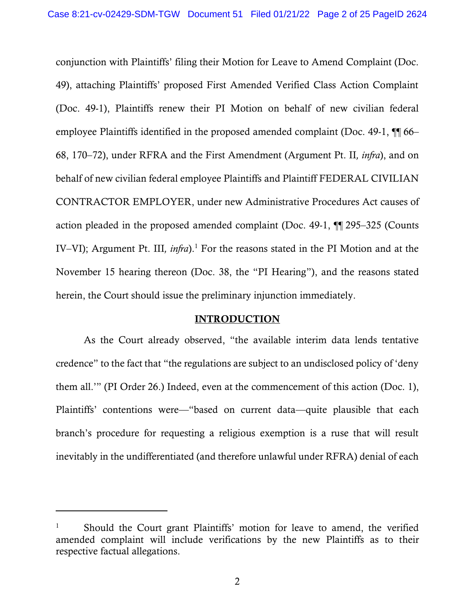conjunction with Plaintiffs' filing their Motion for Leave to Amend Complaint (Doc. 49), attaching Plaintiffs' proposed First Amended Verified Class Action Complaint (Doc. 49-1), Plaintiffs renew their PI Motion on behalf of new civilian federal employee Plaintiffs identified in the proposed amended complaint (Doc. 49-1, ¶¶ 66– 68, 170–72), under RFRA and the First Amendment (Argument Pt. II*, infra*), and on behalf of new civilian federal employee Plaintiffs and Plaintiff FEDERAL CIVILIAN CONTRACTOR EMPLOYER, under new Administrative Procedures Act causes of action pleaded in the proposed amended complaint (Doc. 49-1, ¶¶ 295–325 (Counts IV–VI); Argument Pt. III*, infra*). <sup>1</sup> For the reasons stated in the PI Motion and at the November 15 hearing thereon (Doc. 38, the "PI Hearing"), and the reasons stated herein, the Court should issue the preliminary injunction immediately.

#### INTRODUCTION

As the Court already observed, "the available interim data lends tentative credence" to the fact that "the regulations are subject to an undisclosed policy of 'deny them all.'" (PI Order 26.) Indeed, even at the commencement of this action (Doc. 1), Plaintiffs' contentions were—"based on current data—quite plausible that each branch's procedure for requesting a religious exemption is a ruse that will result inevitably in the undifferentiated (and therefore unlawful under RFRA) denial of each

<sup>&</sup>lt;sup>1</sup> Should the Court grant Plaintiffs' motion for leave to amend, the verified amended complaint will include verifications by the new Plaintiffs as to their respective factual allegations.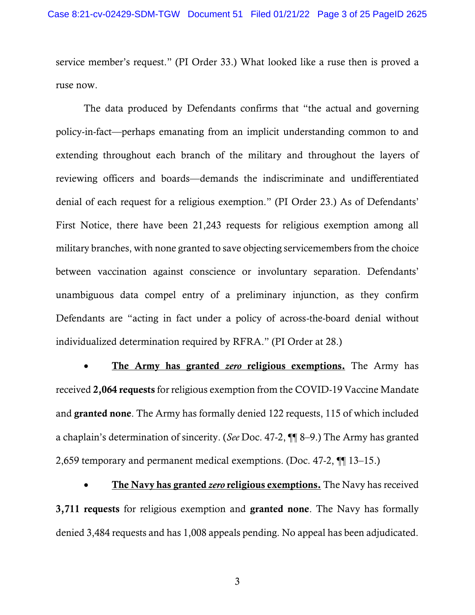service member's request." (PI Order 33.) What looked like a ruse then is proved a ruse now.

The data produced by Defendants confirms that "the actual and governing policy-in-fact—perhaps emanating from an implicit understanding common to and extending throughout each branch of the military and throughout the layers of reviewing officers and boards—demands the indiscriminate and undifferentiated denial of each request for a religious exemption." (PI Order 23.) As of Defendants' First Notice, there have been 21,243 requests for religious exemption among all military branches, with none granted to save objecting servicemembers from the choice between vaccination against conscience or involuntary separation. Defendants' unambiguous data compel entry of a preliminary injunction, as they confirm Defendants are "acting in fact under a policy of across-the-board denial without individualized determination required by RFRA." (PI Order at 28.)

• The Army has granted *zero* religious exemptions. The Army has received 2,064 requests for religious exemption from the COVID-19 Vaccine Mandate and granted none. The Army has formally denied 122 requests, 115 of which included a chaplain's determination of sincerity. (*See* Doc. 47-2, ¶¶ 8–9.) The Army has granted 2,659 temporary and permanent medical exemptions. (Doc. 47-2, ¶¶ 13–15.)

• The Navy has granted *zero* religious exemptions. The Navy has received 3,711 requests for religious exemption and granted none. The Navy has formally denied 3,484 requests and has 1,008 appeals pending. No appeal has been adjudicated.

3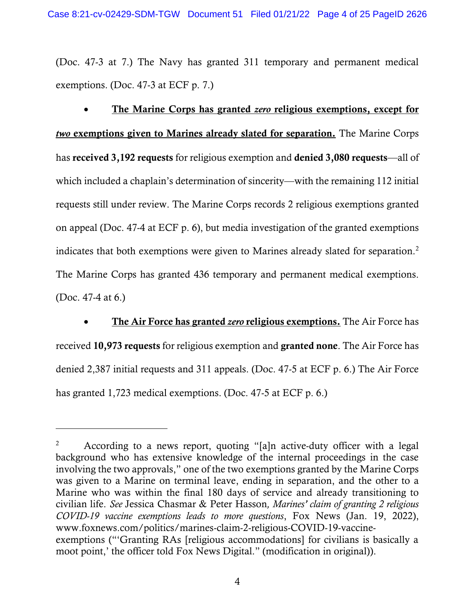(Doc. 47-3 at 7.) The Navy has granted 311 temporary and permanent medical exemptions. (Doc. 47-3 at ECF p. 7.)

• The Marine Corps has granted *zero* religious exemptions, except for *two* exemptions given to Marines already slated for separation. The Marine Corps has received 3,192 requests for religious exemption and denied 3,080 requests—all of which included a chaplain's determination of sincerity—with the remaining 112 initial requests still under review. The Marine Corps records 2 religious exemptions granted on appeal (Doc. 47-4 at ECF p. 6), but media investigation of the granted exemptions indicates that both exemptions were given to Marines already slated for separation.<sup>2</sup> The Marine Corps has granted 436 temporary and permanent medical exemptions. (Doc. 47-4 at 6.)

• The Air Force has granted *zero* religious exemptions. The Air Force has received 10,973 requests for religious exemption and granted none. The Air Force has denied 2,387 initial requests and 311 appeals. (Doc. 47-5 at ECF p. 6.) The Air Force has granted 1,723 medical exemptions. (Doc. 47-5 at ECF p. 6.)

<sup>&</sup>lt;sup>2</sup> According to a news report, quoting "[a]n active-duty officer with a legal background who has extensive knowledge of the internal proceedings in the case involving the two approvals," one of the two exemptions granted by the Marine Corps was given to a Marine on terminal leave, ending in separation, and the other to a Marine who was within the final 180 days of service and already transitioning to civilian life. *See* Jessica Chasmar & Peter Hasson*, Marines' claim of granting 2 religious COVID-19 vaccine exemptions leads to more questions*, Fox News (Jan. 19, 2022), www.foxnews.com/politics/marines-claim-2-religious-COVID-19-vaccineexemptions ("'Granting RAs [religious accommodations] for civilians is basically a moot point,' the officer told Fox News Digital." (modification in original)).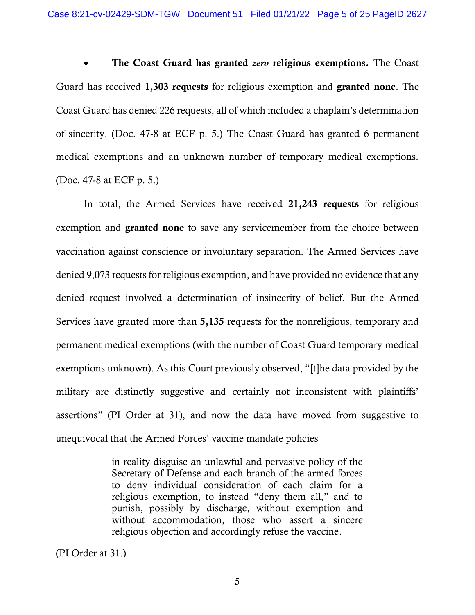• The Coast Guard has granted *zero* religious exemptions. The Coast Guard has received 1,303 requests for religious exemption and granted none. The Coast Guard has denied 226 requests, all of which included a chaplain's determination of sincerity. (Doc. 47-8 at ECF p. 5.) The Coast Guard has granted 6 permanent medical exemptions and an unknown number of temporary medical exemptions. (Doc. 47-8 at ECF p. 5.)

In total, the Armed Services have received 21,243 requests for religious exemption and granted none to save any servicemember from the choice between vaccination against conscience or involuntary separation. The Armed Services have denied 9,073 requests for religious exemption, and have provided no evidence that any denied request involved a determination of insincerity of belief. But the Armed Services have granted more than 5,135 requests for the nonreligious, temporary and permanent medical exemptions (with the number of Coast Guard temporary medical exemptions unknown). As this Court previously observed, "[t]he data provided by the military are distinctly suggestive and certainly not inconsistent with plaintiffs' assertions" (PI Order at 31), and now the data have moved from suggestive to unequivocal that the Armed Forces' vaccine mandate policies

> in reality disguise an unlawful and pervasive policy of the Secretary of Defense and each branch of the armed forces to deny individual consideration of each claim for a religious exemption, to instead "deny them all," and to punish, possibly by discharge, without exemption and without accommodation, those who assert a sincere religious objection and accordingly refuse the vaccine.

(PI Order at 31.)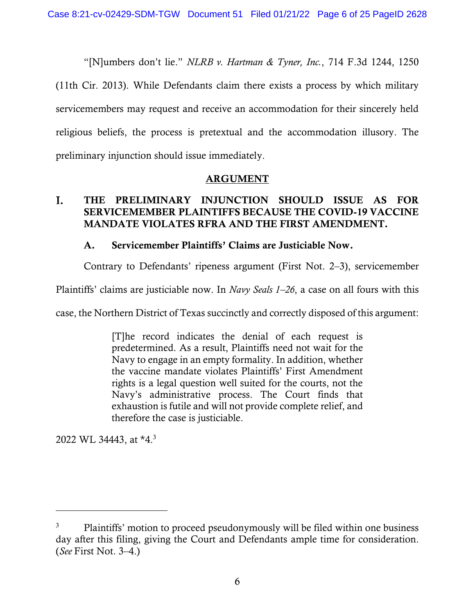"[N]umbers don't lie." *NLRB v. Hartman & Tyner, Inc.*, 714 F.3d 1244, 1250

(11th Cir. 2013). While Defendants claim there exists a process by which military servicemembers may request and receive an accommodation for their sincerely held religious beliefs, the process is pretextual and the accommodation illusory. The preliminary injunction should issue immediately.

## ARGUMENT

#### I. THE PRELIMINARY INJUNCTION SHOULD ISSUE AS FOR SERVICEMEMBER PLAINTIFFS BECAUSE THE COVID-19 VACCINE MANDATE VIOLATES RFRA AND THE FIRST AMENDMENT.

## A. Servicemember Plaintiffs' Claims are Justiciable Now.

Contrary to Defendants' ripeness argument (First Not. 2–3), servicemember

Plaintiffs' claims are justiciable now. In *Navy Seals 1–26*, a case on all fours with this

case, the Northern District of Texas succinctly and correctly disposed of this argument:

[T]he record indicates the denial of each request is predetermined. As a result, Plaintiffs need not wait for the Navy to engage in an empty formality. In addition, whether the vaccine mandate violates Plaintiffs' First Amendment rights is a legal question well suited for the courts, not the Navy's administrative process. The Court finds that exhaustion is futile and will not provide complete relief, and therefore the case is justiciable.

2022 WL 34443, at \*4.<sup>3</sup>

<sup>&</sup>lt;sup>3</sup> Plaintiffs' motion to proceed pseudonymously will be filed within one business day after this filing, giving the Court and Defendants ample time for consideration. (*See* First Not. 3–4.)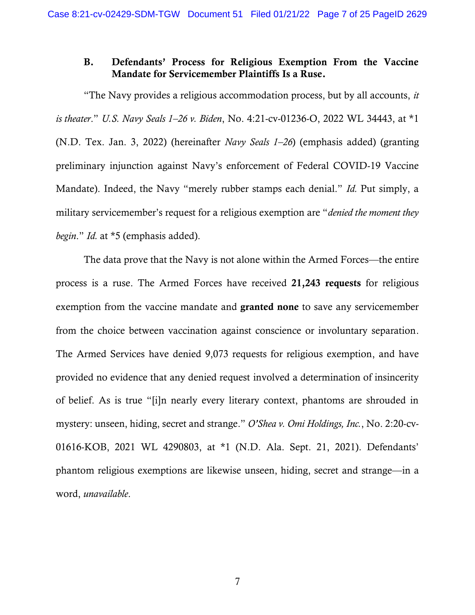#### B. Defendants' Process for Religious Exemption From the Vaccine Mandate for Servicemember Plaintiffs Is a Ruse.

"The Navy provides a religious accommodation process, but by all accounts, *it is theater*." *U.S. Navy Seals 1–26 v. Biden*, No. 4:21-cv-01236-O, 2022 WL 34443, at \*1 (N.D. Tex. Jan. 3, 2022) (hereinafter *Navy Seals 1–26*) (emphasis added) (granting preliminary injunction against Navy's enforcement of Federal COVID-19 Vaccine Mandate). Indeed, the Navy "merely rubber stamps each denial." *Id.* Put simply, a military servicemember's request for a religious exemption are "*denied the moment they begin*." *Id.* at \*5 (emphasis added).

The data prove that the Navy is not alone within the Armed Forces—the entire process is a ruse. The Armed Forces have received 21,243 requests for religious exemption from the vaccine mandate and granted none to save any servicemember from the choice between vaccination against conscience or involuntary separation. The Armed Services have denied 9,073 requests for religious exemption, and have provided no evidence that any denied request involved a determination of insincerity of belief. As is true "[i]n nearly every literary context, phantoms are shrouded in mystery: unseen, hiding, secret and strange." *O'Shea v. Omi Holdings, Inc.*, No. 2:20-cv-01616-KOB, 2021 WL 4290803, at \*1 (N.D. Ala. Sept. 21, 2021). Defendants' phantom religious exemptions are likewise unseen, hiding, secret and strange—in a word, *unavailable*.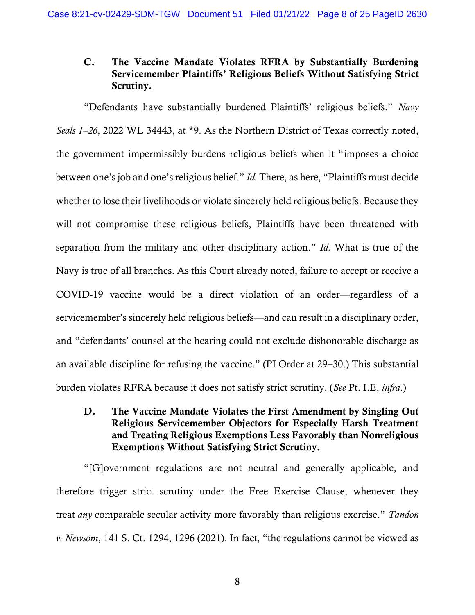# C. The Vaccine Mandate Violates RFRA by Substantially Burdening Servicemember Plaintiffs' Religious Beliefs Without Satisfying Strict Scrutiny.

"Defendants have substantially burdened Plaintiffs' religious beliefs." *Navy Seals 1–26*, 2022 WL 34443, at \*9. As the Northern District of Texas correctly noted, the government impermissibly burdens religious beliefs when it "imposes a choice between one's job and one's religious belief." *Id.* There, as here, "Plaintiffs must decide whether to lose their livelihoods or violate sincerely held religious beliefs. Because they will not compromise these religious beliefs, Plaintiffs have been threatened with separation from the military and other disciplinary action." *Id.* What is true of the Navy is true of all branches. As this Court already noted, failure to accept or receive a COVID-19 vaccine would be a direct violation of an order—regardless of a servicemember's sincerely held religious beliefs—and can result in a disciplinary order, and "defendants' counsel at the hearing could not exclude dishonorable discharge as an available discipline for refusing the vaccine." (PI Order at 29–30.) This substantial burden violates RFRA because it does not satisfy strict scrutiny. (*See* Pt. I.E, *infra*.)

D. The Vaccine Mandate Violates the First Amendment by Singling Out Religious Servicemember Objectors for Especially Harsh Treatment and Treating Religious Exemptions Less Favorably than Nonreligious Exemptions Without Satisfying Strict Scrutiny.

"[G]overnment regulations are not neutral and generally applicable, and therefore trigger strict scrutiny under the Free Exercise Clause, whenever they treat *any* comparable secular activity more favorably than religious exercise." *Tandon v. Newsom*, 141 S. Ct. 1294, 1296 (2021). In fact, "the regulations cannot be viewed as

8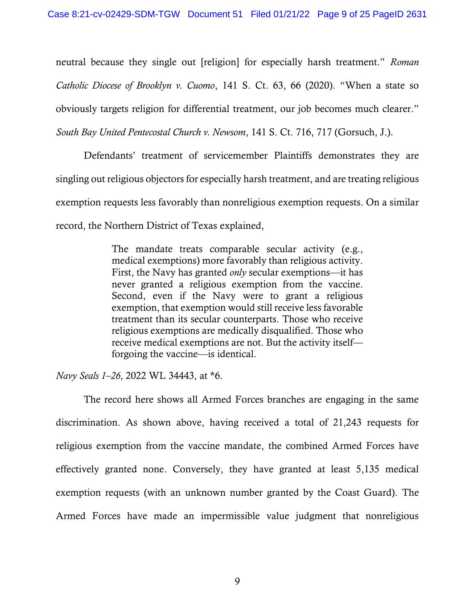neutral because they single out [religion] for especially harsh treatment." *Roman Catholic Diocese of Brooklyn v. Cuomo*, 141 S. Ct. 63, 66 (2020). "When a state so obviously targets religion for differential treatment, our job becomes much clearer." *South Bay United Pentecostal Church v. Newsom*, 141 S. Ct. 716, 717 (Gorsuch, J.).

Defendants' treatment of servicemember Plaintiffs demonstrates they are singling out religious objectors for especially harsh treatment, and are treating religious exemption requests less favorably than nonreligious exemption requests. On a similar record, the Northern District of Texas explained,

> The mandate treats comparable secular activity (e.g., medical exemptions) more favorably than religious activity. First, the Navy has granted *only* secular exemptions—it has never granted a religious exemption from the vaccine. Second, even if the Navy were to grant a religious exemption, that exemption would still receive less favorable treatment than its secular counterparts. Those who receive religious exemptions are medically disqualified. Those who receive medical exemptions are not. But the activity itself forgoing the vaccine—is identical.

*Navy Seals 1–26*, 2022 WL 34443, at \*6.

The record here shows all Armed Forces branches are engaging in the same discrimination. As shown above, having received a total of 21,243 requests for religious exemption from the vaccine mandate, the combined Armed Forces have effectively granted none. Conversely, they have granted at least 5,135 medical exemption requests (with an unknown number granted by the Coast Guard). The Armed Forces have made an impermissible value judgment that nonreligious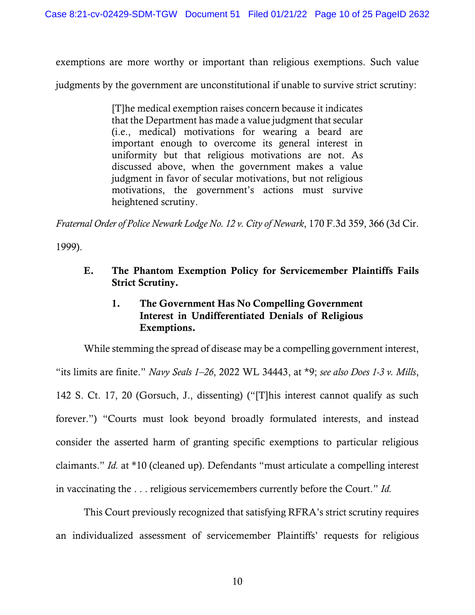exemptions are more worthy or important than religious exemptions. Such value

judgments by the government are unconstitutional if unable to survive strict scrutiny:

[T]he medical exemption raises concern because it indicates that the Department has made a value judgment that secular (i.e., medical) motivations for wearing a beard are important enough to overcome its general interest in uniformity but that religious motivations are not. As discussed above, when the government makes a value judgment in favor of secular motivations, but not religious motivations, the government's actions must survive heightened scrutiny.

*Fraternal Order of Police Newark Lodge No. 12 v. City of Newark*, 170 F.3d 359, 366 (3d Cir.

1999).

E. The Phantom Exemption Policy for Servicemember Plaintiffs Fails Strict Scrutiny.

# 1. The Government Has No Compelling Government Interest in Undifferentiated Denials of Religious Exemptions.

While stemming the spread of disease may be a compelling government interest, "its limits are finite." *Navy Seals 1–26*, 2022 WL 34443, at \*9; *see also Does 1-3 v. Mills*, 142 S. Ct. 17, 20 (Gorsuch, J., dissenting) ("[T]his interest cannot qualify as such forever.") "Courts must look beyond broadly formulated interests, and instead consider the asserted harm of granting specific exemptions to particular religious claimants." *Id.* at \*10 (cleaned up). Defendants "must articulate a compelling interest in vaccinating the . . . religious servicemembers currently before the Court." *Id.*

This Court previously recognized that satisfying RFRA's strict scrutiny requires an individualized assessment of servicemember Plaintiffs' requests for religious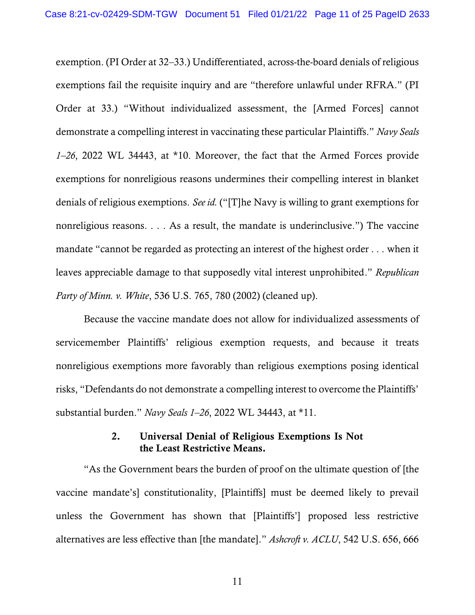exemption. (PI Order at 32–33.) Undifferentiated, across-the-board denials of religious exemptions fail the requisite inquiry and are "therefore unlawful under RFRA." (PI Order at 33.) "Without individualized assessment, the [Armed Forces] cannot demonstrate a compelling interest in vaccinating these particular Plaintiffs." *Navy Seals 1–26*, 2022 WL 34443, at \*10. Moreover, the fact that the Armed Forces provide exemptions for nonreligious reasons undermines their compelling interest in blanket denials of religious exemptions. *See id.* ("[T]he Navy is willing to grant exemptions for nonreligious reasons. . . . As a result, the mandate is underinclusive.") The vaccine mandate "cannot be regarded as protecting an interest of the highest order . . . when it leaves appreciable damage to that supposedly vital interest unprohibited." *Republican Party of Minn. v. White*, 536 U.S. 765, 780 (2002) (cleaned up).

Because the vaccine mandate does not allow for individualized assessments of servicemember Plaintiffs' religious exemption requests, and because it treats nonreligious exemptions more favorably than religious exemptions posing identical risks, "Defendants do not demonstrate a compelling interest to overcome the Plaintiffs' substantial burden." *Navy Seals 1–26*, 2022 WL 34443, at \*11.

#### 2. Universal Denial of Religious Exemptions Is Not the Least Restrictive Means.

"As the Government bears the burden of proof on the ultimate question of [the vaccine mandate's] constitutionality, [Plaintiffs] must be deemed likely to prevail unless the Government has shown that [Plaintiffs'] proposed less restrictive alternatives are less effective than [the mandate]." *Ashcroft v. ACLU*, 542 U.S. 656, 666

11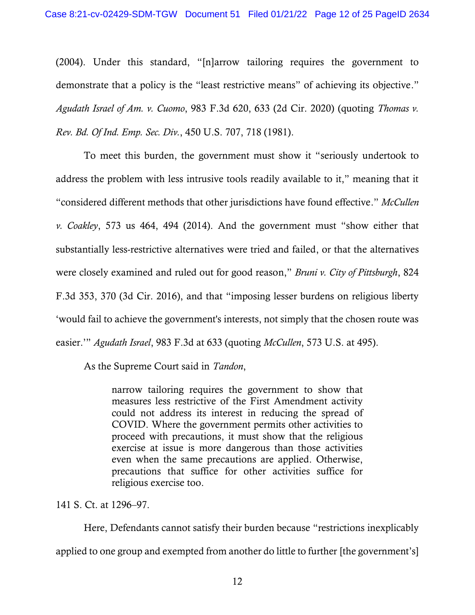(2004). Under this standard, "[n]arrow tailoring requires the government to demonstrate that a policy is the "least restrictive means" of achieving its objective." *Agudath Israel of Am. v. Cuomo*, 983 F.3d 620, 633 (2d Cir. 2020) (quoting *Thomas v. Rev. Bd. Of Ind. Emp. Sec. Div.*, 450 U.S. 707, 718 (1981).

To meet this burden, the government must show it "seriously undertook to address the problem with less intrusive tools readily available to it," meaning that it "considered different methods that other jurisdictions have found effective." *McCullen v. Coakley*, 573 us 464, 494 (2014). And the government must "show either that substantially less-restrictive alternatives were tried and failed, or that the alternatives were closely examined and ruled out for good reason," *Bruni v. City of Pittsburgh*, 824 F.3d 353, 370 (3d Cir. 2016), and that "imposing lesser burdens on religious liberty 'would fail to achieve the government's interests, not simply that the chosen route was easier.'" *Agudath Israel*, 983 F.3d at 633 (quoting *McCullen*, 573 U.S. at 495).

As the Supreme Court said in *Tandon*,

narrow tailoring requires the government to show that measures less restrictive of the First Amendment activity could not address its interest in reducing the spread of COVID. Where the government permits other activities to proceed with precautions, it must show that the religious exercise at issue is more dangerous than those activities even when the same precautions are applied. Otherwise, precautions that suffice for other activities suffice for religious exercise too.

141 S. Ct. at 1296–97.

Here, Defendants cannot satisfy their burden because "restrictions inexplicably applied to one group and exempted from another do little to further [the government's]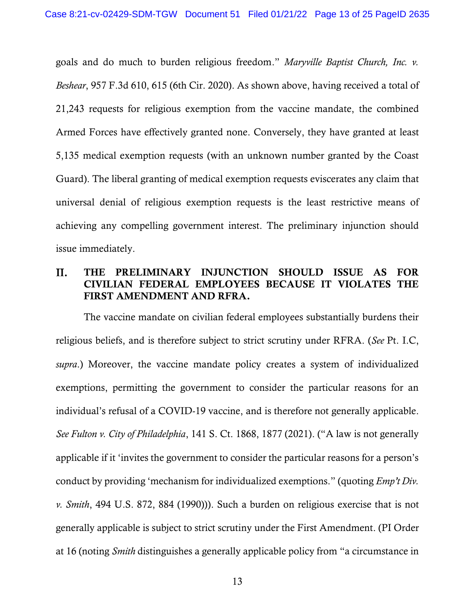goals and do much to burden religious freedom." *Maryville Baptist Church, Inc. v. Beshear*, 957 F.3d 610, 615 (6th Cir. 2020). As shown above, having received a total of 21,243 requests for religious exemption from the vaccine mandate, the combined Armed Forces have effectively granted none. Conversely, they have granted at least 5,135 medical exemption requests (with an unknown number granted by the Coast Guard). The liberal granting of medical exemption requests eviscerates any claim that universal denial of religious exemption requests is the least restrictive means of achieving any compelling government interest. The preliminary injunction should issue immediately.

#### II. THE PRELIMINARY INJUNCTION SHOULD ISSUE AS FOR CIVILIAN FEDERAL EMPLOYEES BECAUSE IT VIOLATES THE FIRST AMENDMENT AND RFRA.

The vaccine mandate on civilian federal employees substantially burdens their religious beliefs, and is therefore subject to strict scrutiny under RFRA. (*See* Pt. I.C, *supra*.) Moreover, the vaccine mandate policy creates a system of individualized exemptions, permitting the government to consider the particular reasons for an individual's refusal of a COVID-19 vaccine, and is therefore not generally applicable. *See Fulton v. City of Philadelphia*, 141 S. Ct. 1868, 1877 (2021). ("A law is not generally applicable if it 'invites the government to consider the particular reasons for a person's conduct by providing 'mechanism for individualized exemptions." (quoting *Emp't Div. v. Smith*, 494 U.S. 872, 884 (1990))). Such a burden on religious exercise that is not generally applicable is subject to strict scrutiny under the First Amendment. (PI Order at 16 (noting *Smith* distinguishes a generally applicable policy from "a circumstance in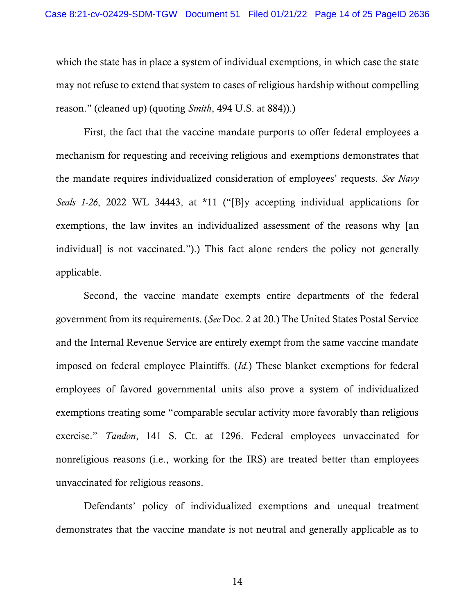which the state has in place a system of individual exemptions, in which case the state may not refuse to extend that system to cases of religious hardship without compelling reason." (cleaned up) (quoting *Smith*, 494 U.S. at 884)).)

First, the fact that the vaccine mandate purports to offer federal employees a mechanism for requesting and receiving religious and exemptions demonstrates that the mandate requires individualized consideration of employees' requests. *See Navy Seals 1-26*, 2022 WL 34443, at \*11 ("[B]y accepting individual applications for exemptions, the law invites an individualized assessment of the reasons why [an individual] is not vaccinated.").) This fact alone renders the policy not generally applicable.

Second, the vaccine mandate exempts entire departments of the federal government from its requirements. (*See* Doc. 2 at 20.) The United States Postal Service and the Internal Revenue Service are entirely exempt from the same vaccine mandate imposed on federal employee Plaintiffs. (*Id.*) These blanket exemptions for federal employees of favored governmental units also prove a system of individualized exemptions treating some "comparable secular activity more favorably than religious exercise." *Tandon*, 141 S. Ct. at 1296. Federal employees unvaccinated for nonreligious reasons (i.e., working for the IRS) are treated better than employees unvaccinated for religious reasons.

Defendants' policy of individualized exemptions and unequal treatment demonstrates that the vaccine mandate is not neutral and generally applicable as to

14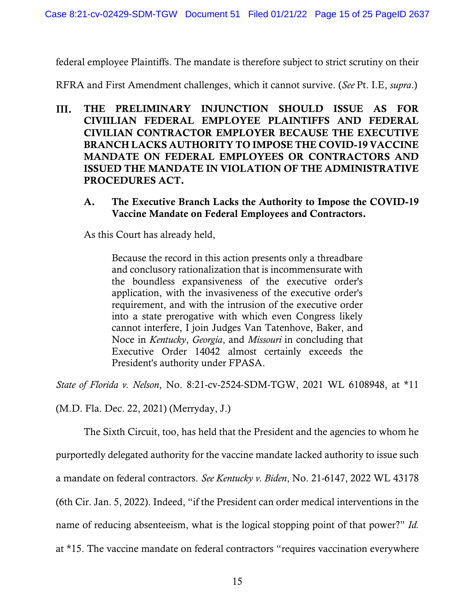federal employee Plaintiffs. The mandate is therefore subject to strict scrutiny on their

RFRA and First Amendment challenges, which it cannot survive. (*See* Pt. I.E, *supra*.)

- Ш. THE PRELIMINARY INJUNCTION SHOULD ISSUE AS FOR CIVIILIAN FEDERAL EMPLOYEE PLAINTIFFS AND FEDERAL CIVILIAN CONTRACTOR EMPLOYER BECAUSE THE EXECUTIVE BRANCH LACKS AUTHORITY TO IMPOSE THE COVID-19 VACCINE MANDATE ON FEDERAL EMPLOYEES OR CONTRACTORS AND ISSUED THE MANDATE IN VIOLATION OF THE ADMINISTRATIVE PROCEDURES ACT.
	- A. The Executive Branch Lacks the Authority to Impose the COVID-19 Vaccine Mandate on Federal Employees and Contractors.

As this Court has already held,

Because the record in this action presents only a threadbare and conclusory rationalization that is incommensurate with the boundless expansiveness of the executive order's application, with the invasiveness of the executive order's requirement, and with the intrusion of the executive order into a state prerogative with which even Congress likely cannot interfere, I join Judges Van Tatenhove, Baker, and Noce in *Kentucky*, *Georgia*, and *Missouri* in concluding that Executive Order 14042 almost certainly exceeds the President's authority under FPASA.

*State of Florida v. Nelson*, No. 8:21-cv-2524-SDM-TGW, 2021 WL 6108948, at \*11

(M.D. Fla. Dec. 22, 2021) (Merryday, J.)

The Sixth Circuit, too, has held that the President and the agencies to whom he

purportedly delegated authority for the vaccine mandate lacked authority to issue such

a mandate on federal contractors. *See Kentucky v. Biden*, No. 21-6147, 2022 WL 43178

(6th Cir. Jan. 5, 2022). Indeed, "if the President can order medical interventions in the

name of reducing absenteeism, what is the logical stopping point of that power?" *Id.* 

at \*15. The vaccine mandate on federal contractors "requires vaccination everywhere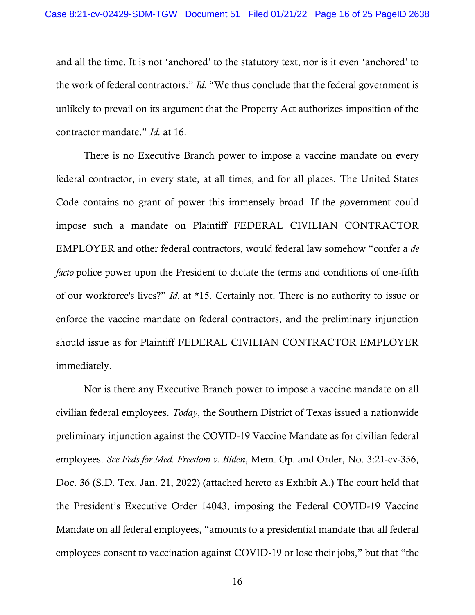and all the time. It is not 'anchored' to the statutory text, nor is it even 'anchored' to the work of federal contractors." *Id.* "We thus conclude that the federal government is unlikely to prevail on its argument that the Property Act authorizes imposition of the contractor mandate." *Id.* at 16.

There is no Executive Branch power to impose a vaccine mandate on every federal contractor, in every state, at all times, and for all places. The United States Code contains no grant of power this immensely broad. If the government could impose such a mandate on Plaintiff FEDERAL CIVILIAN CONTRACTOR EMPLOYER and other federal contractors, would federal law somehow "confer a *de facto* police power upon the President to dictate the terms and conditions of one-fifth of our workforce's lives?" *Id.* at \*15. Certainly not. There is no authority to issue or enforce the vaccine mandate on federal contractors, and the preliminary injunction should issue as for Plaintiff FEDERAL CIVILIAN CONTRACTOR EMPLOYER immediately.

Nor is there any Executive Branch power to impose a vaccine mandate on all civilian federal employees. *Today*, the Southern District of Texas issued a nationwide preliminary injunction against the COVID-19 Vaccine Mandate as for civilian federal employees. *See Feds for Med. Freedom v. Biden*, Mem. Op. and Order, No. 3:21-cv-356, Doc. 36 (S.D. Tex. Jan. 21, 2022) (attached hereto as Exhibit A.) The court held that the President's Executive Order 14043, imposing the Federal COVID-19 Vaccine Mandate on all federal employees, "amounts to a presidential mandate that all federal employees consent to vaccination against COVID-19 or lose their jobs," but that "the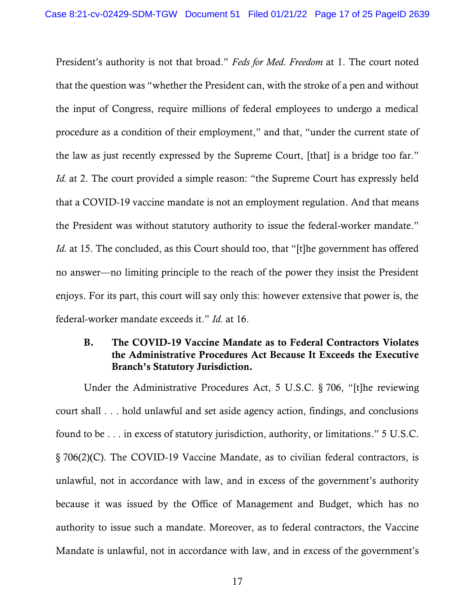President's authority is not that broad." *Feds for Med. Freedom* at 1. The court noted that the question was "whether the President can, with the stroke of a pen and without the input of Congress, require millions of federal employees to undergo a medical procedure as a condition of their employment," and that, "under the current state of the law as just recently expressed by the Supreme Court, [that] is a bridge too far." *Id.* at 2. The court provided a simple reason: "the Supreme Court has expressly held that a COVID-19 vaccine mandate is not an employment regulation. And that means the President was without statutory authority to issue the federal-worker mandate." *Id.* at 15. The concluded, as this Court should too, that "[t]he government has offered no answer—no limiting principle to the reach of the power they insist the President enjoys. For its part, this court will say only this: however extensive that power is, the federal-worker mandate exceeds it." *Id.* at 16.

## B. The COVID-19 Vaccine Mandate as to Federal Contractors Violates the Administrative Procedures Act Because It Exceeds the Executive Branch's Statutory Jurisdiction.

Under the Administrative Procedures Act, 5 U.S.C. § 706, "[t]he reviewing court shall . . . hold unlawful and set aside agency action, findings, and conclusions found to be . . . in excess of statutory jurisdiction, authority, or limitations." 5 U.S.C. § 706(2)(C). The COVID-19 Vaccine Mandate, as to civilian federal contractors, is unlawful, not in accordance with law, and in excess of the government's authority because it was issued by the Office of Management and Budget, which has no authority to issue such a mandate. Moreover, as to federal contractors, the Vaccine Mandate is unlawful, not in accordance with law, and in excess of the government's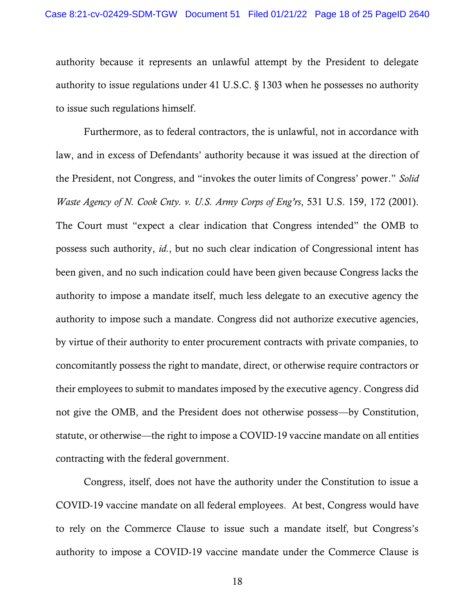authority because it represents an unlawful attempt by the President to delegate authority to issue regulations under 41 U.S.C. § 1303 when he possesses no authority to issue such regulations himself.

Furthermore, as to federal contractors, the is unlawful, not in accordance with law, and in excess of Defendants' authority because it was issued at the direction of the President, not Congress, and "invokes the outer limits of Congress' power." *Solid Waste Agency of N. Cook Cnty. v. U.S. Army Corps of Eng'rs*, 531 U.S. 159, 172 (2001). The Court must "expect a clear indication that Congress intended" the OMB to possess such authority, *id.*, but no such clear indication of Congressional intent has been given, and no such indication could have been given because Congress lacks the authority to impose a mandate itself, much less delegate to an executive agency the authority to impose such a mandate. Congress did not authorize executive agencies, by virtue of their authority to enter procurement contracts with private companies, to concomitantly possess the right to mandate, direct, or otherwise require contractors or their employees to submit to mandates imposed by the executive agency. Congress did not give the OMB, and the President does not otherwise possess—by Constitution, statute, or otherwise—the right to impose a COVID-19 vaccine mandate on all entities contracting with the federal government.

Congress, itself, does not have the authority under the Constitution to issue a COVID-19 vaccine mandate on all federal employees. At best, Congress would have to rely on the Commerce Clause to issue such a mandate itself, but Congress's authority to impose a COVID-19 vaccine mandate under the Commerce Clause is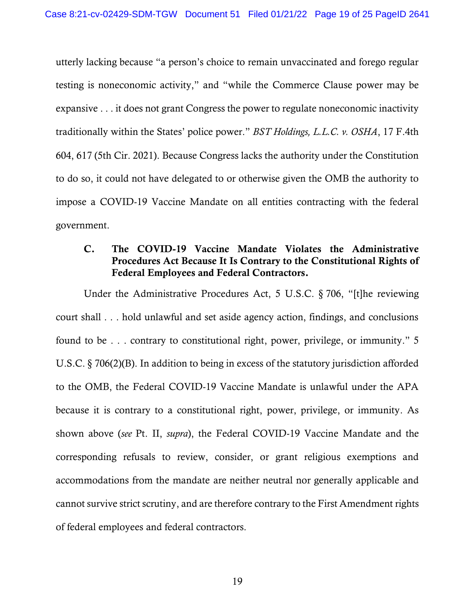utterly lacking because "a person's choice to remain unvaccinated and forego regular testing is noneconomic activity," and "while the Commerce Clause power may be expansive . . . it does not grant Congress the power to regulate noneconomic inactivity traditionally within the States' police power." *BST Holdings, L.L.C. v. OSHA*, 17 F.4th 604, 617 (5th Cir. 2021). Because Congress lacks the authority under the Constitution to do so, it could not have delegated to or otherwise given the OMB the authority to impose a COVID-19 Vaccine Mandate on all entities contracting with the federal government.

# C. The COVID-19 Vaccine Mandate Violates the Administrative Procedures Act Because It Is Contrary to the Constitutional Rights of Federal Employees and Federal Contractors.

Under the Administrative Procedures Act, 5 U.S.C. § 706, "[t]he reviewing court shall . . . hold unlawful and set aside agency action, findings, and conclusions found to be . . . contrary to constitutional right, power, privilege, or immunity." 5 U.S.C. § 706(2)(B). In addition to being in excess of the statutory jurisdiction afforded to the OMB, the Federal COVID-19 Vaccine Mandate is unlawful under the APA because it is contrary to a constitutional right, power, privilege, or immunity. As shown above (*see* Pt. II, *supra*), the Federal COVID-19 Vaccine Mandate and the corresponding refusals to review, consider, or grant religious exemptions and accommodations from the mandate are neither neutral nor generally applicable and cannot survive strict scrutiny, and are therefore contrary to the First Amendment rights of federal employees and federal contractors.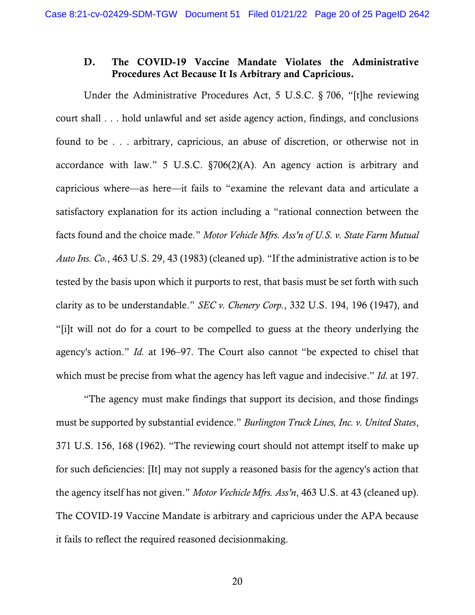## D. The COVID-19 Vaccine Mandate Violates the Administrative Procedures Act Because It Is Arbitrary and Capricious.

Under the Administrative Procedures Act, 5 U.S.C. § 706, "[t]he reviewing court shall . . . hold unlawful and set aside agency action, findings, and conclusions found to be . . . arbitrary, capricious, an abuse of discretion, or otherwise not in accordance with law." 5 U.S.C. §706(2)(A). An agency action is arbitrary and capricious where—as here—it fails to "examine the relevant data and articulate a satisfactory explanation for its action including a "rational connection between the facts found and the choice made." *Motor Vehicle Mfrs. Ass'n of U.S. v. State Farm Mutual Auto Ins. Co.*, 463 U.S. 29, 43 (1983) (cleaned up). "If the administrative action is to be tested by the basis upon which it purports to rest, that basis must be set forth with such clarity as to be understandable." *SEC v. Chenery Corp.*, 332 U.S. 194, 196 (1947), and "[i]t will not do for a court to be compelled to guess at the theory underlying the agency's action." *Id.* at 196–97. The Court also cannot "be expected to chisel that which must be precise from what the agency has left vague and indecisive." *Id.* at 197.

"The agency must make findings that support its decision, and those findings must be supported by substantial evidence." *Burlington Truck Lines, Inc. v. United States*, 371 U.S. 156, 168 (1962). "The reviewing court should not attempt itself to make up for such deficiencies: [It] may not supply a reasoned basis for the agency's action that the agency itself has not given." *Motor Vechicle Mfrs. Ass'n*, 463 U.S. at 43 (cleaned up). The COVID-19 Vaccine Mandate is arbitrary and capricious under the APA because it fails to reflect the required reasoned decisionmaking.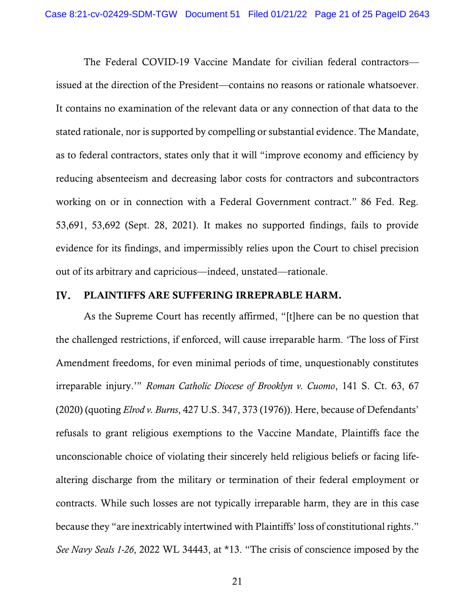The Federal COVID-19 Vaccine Mandate for civilian federal contractors issued at the direction of the President—contains no reasons or rationale whatsoever. It contains no examination of the relevant data or any connection of that data to the stated rationale, nor is supported by compelling or substantial evidence. The Mandate, as to federal contractors, states only that it will "improve economy and efficiency by reducing absenteeism and decreasing labor costs for contractors and subcontractors working on or in connection with a Federal Government contract." 86 Fed. Reg. 53,691, 53,692 (Sept. 28, 2021). It makes no supported findings, fails to provide evidence for its findings, and impermissibly relies upon the Court to chisel precision out of its arbitrary and capricious—indeed, unstated—rationale.

#### IV. PLAINTIFFS ARE SUFFERING IRREPRABLE HARM.

As the Supreme Court has recently affirmed, "[t]here can be no question that the challenged restrictions, if enforced, will cause irreparable harm. 'The loss of First Amendment freedoms, for even minimal periods of time, unquestionably constitutes irreparable injury.'" *Roman Catholic Diocese of Brooklyn v. Cuomo*, 141 S. Ct. 63, 67 (2020) (quoting *Elrod v. Burns*, 427 U.S. 347, 373 (1976)). Here, because of Defendants' refusals to grant religious exemptions to the Vaccine Mandate, Plaintiffs face the unconscionable choice of violating their sincerely held religious beliefs or facing lifealtering discharge from the military or termination of their federal employment or contracts. While such losses are not typically irreparable harm, they are in this case because they "are inextricably intertwined with Plaintiffs' loss of constitutional rights." *See Navy Seals 1-26*, 2022 WL 34443, at \*13. "The crisis of conscience imposed by the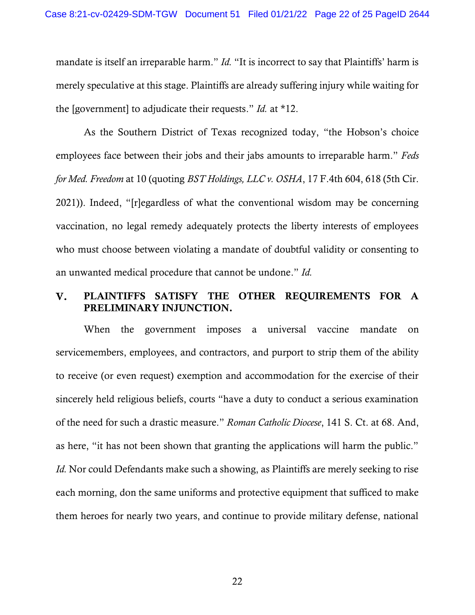mandate is itself an irreparable harm." *Id.* "It is incorrect to say that Plaintiffs' harm is merely speculative at this stage. Plaintiffs are already suffering injury while waiting for the [government] to adjudicate their requests." *Id.* at \*12.

As the Southern District of Texas recognized today, "the Hobson's choice employees face between their jobs and their jabs amounts to irreparable harm." *Feds for Med. Freedom* at 10 (quoting *BST Holdings, LLC v. OSHA*, 17 F.4th 604, 618 (5th Cir. 2021)). Indeed, "[r]egardless of what the conventional wisdom may be concerning vaccination, no legal remedy adequately protects the liberty interests of employees who must choose between violating a mandate of doubtful validity or consenting to an unwanted medical procedure that cannot be undone." *Id.*

#### PLAINTIFFS SATISFY THE OTHER REQUIREMENTS FOR A  $V_{\bullet}$ PRELIMINARY INJUNCTION.

When the government imposes a universal vaccine mandate on servicemembers, employees, and contractors, and purport to strip them of the ability to receive (or even request) exemption and accommodation for the exercise of their sincerely held religious beliefs, courts "have a duty to conduct a serious examination of the need for such a drastic measure." *Roman Catholic Diocese*, 141 S. Ct. at 68. And, as here, "it has not been shown that granting the applications will harm the public." *Id.* Nor could Defendants make such a showing, as Plaintiffs are merely seeking to rise each morning, don the same uniforms and protective equipment that sufficed to make them heroes for nearly two years, and continue to provide military defense, national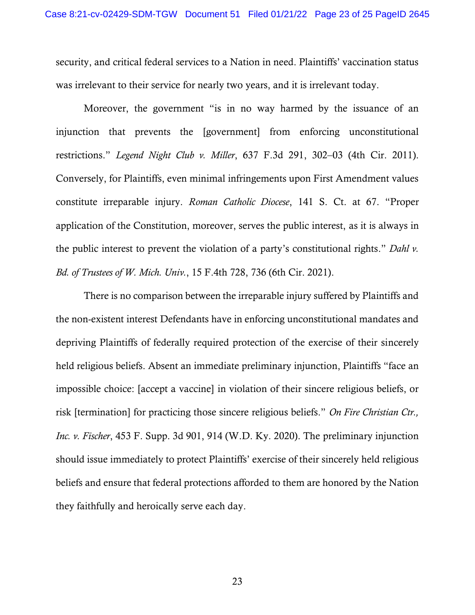security, and critical federal services to a Nation in need. Plaintiffs' vaccination status was irrelevant to their service for nearly two years, and it is irrelevant today.

Moreover, the government "is in no way harmed by the issuance of an injunction that prevents the [government] from enforcing unconstitutional restrictions." *Legend Night Club v. Miller*, 637 F.3d 291, 302–03 (4th Cir. 2011). Conversely, for Plaintiffs, even minimal infringements upon First Amendment values constitute irreparable injury. *Roman Catholic Diocese*, 141 S. Ct. at 67. "Proper application of the Constitution, moreover, serves the public interest, as it is always in the public interest to prevent the violation of a party's constitutional rights." *Dahl v. Bd. of Trustees of W. Mich. Univ.*, 15 F.4th 728, 736 (6th Cir. 2021).

There is no comparison between the irreparable injury suffered by Plaintiffs and the non-existent interest Defendants have in enforcing unconstitutional mandates and depriving Plaintiffs of federally required protection of the exercise of their sincerely held religious beliefs. Absent an immediate preliminary injunction, Plaintiffs "face an impossible choice: [accept a vaccine] in violation of their sincere religious beliefs, or risk [termination] for practicing those sincere religious beliefs." *On Fire Christian Ctr., Inc. v. Fischer*, 453 F. Supp. 3d 901, 914 (W.D. Ky. 2020). The preliminary injunction should issue immediately to protect Plaintiffs' exercise of their sincerely held religious beliefs and ensure that federal protections afforded to them are honored by the Nation they faithfully and heroically serve each day.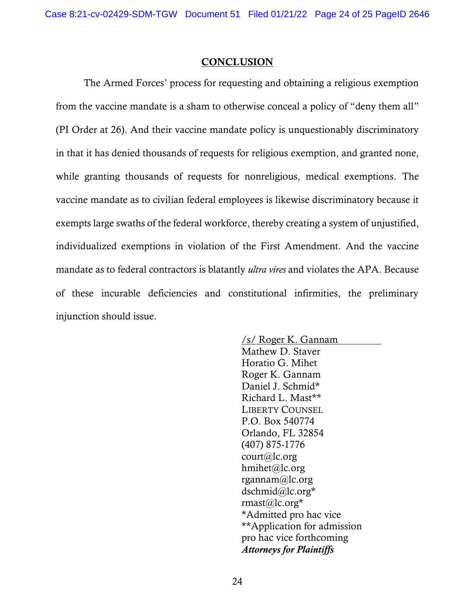#### **CONCLUSION**

The Armed Forces' process for requesting and obtaining a religious exemption from the vaccine mandate is a sham to otherwise conceal a policy of "deny them all" (PI Order at 26). And their vaccine mandate policy is unquestionably discriminatory in that it has denied thousands of requests for religious exemption, and granted none, while granting thousands of requests for nonreligious, medical exemptions. The vaccine mandate as to civilian federal employees is likewise discriminatory because it exempts large swaths of the federal workforce, thereby creating a system of unjustified, individualized exemptions in violation of the First Amendment. And the vaccine mandate as to federal contractors is blatantly *ultra vires* and violates the APA. Because of these incurable deficiencies and constitutional infirmities, the preliminary injunction should issue.

> /s/ Roger K. Gannam Mathew D. Staver Horatio G. Mihet Roger K. Gannam Daniel J. Schmid\* Richard L. Mast\*\* LIBERTY COUNSEL P.O. Box 540774 Orlando, FL 32854 (407) 875-1776 court@lc.org hmihet@lc.org rgannam@lc.org dschmid@lc.org\* rmast@lc.org\* \*Admitted pro hac vice \*\*Application for admission pro hac vice forthcoming *Attorneys for Plaintiffs*